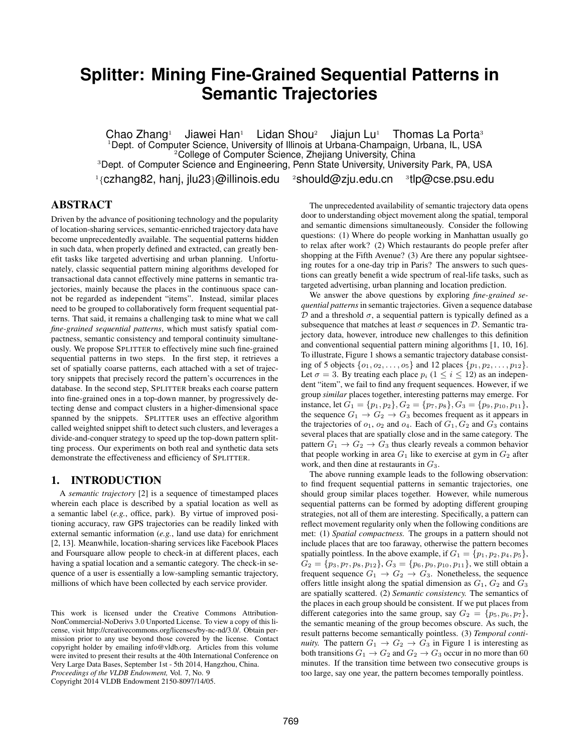# **Splitter: Mining Fine-Grained Sequential Patterns in Semantic Trajectories**

Chao Zhang<sup>1</sup> Jiawei Han<sup>1</sup> Lidan Shou<sup>2</sup> Jiajun Lu<sup>1</sup> Thomas La Porta<sup>3</sup> <sup>1</sup>Dept. of Computer Science, University of Illinois at Urbana-Champaign, Urbana, IL, USA <sup>2</sup>College of Computer Science, Zhejiang University, China <sup>3</sup>Dept. of Computer Science and Engineering, Penn State University, University Park, PA, USA  $^{\text{\tiny{1}}}\!$ (czhang82, hanj, jlu23}@illinois.edu  $^{\text{\tiny{2}}}$ should@zju.edu.cn  $^{\text{\tiny{3}}}$ <sup>3</sup>tlp@cse.psu.edu

# ABSTRACT

Driven by the advance of positioning technology and the popularity of location-sharing services, semantic-enriched trajectory data have become unprecedentedly available. The sequential patterns hidden in such data, when properly defined and extracted, can greatly benefit tasks like targeted advertising and urban planning. Unfortunately, classic sequential pattern mining algorithms developed for transactional data cannot effectively mine patterns in semantic trajectories, mainly because the places in the continuous space cannot be regarded as independent "items". Instead, similar places need to be grouped to collaboratively form frequent sequential patterns. That said, it remains a challenging task to mine what we call *fine-grained sequential patterns*, which must satisfy spatial compactness, semantic consistency and temporal continuity simultaneously. We propose SPLITTER to effectively mine such fine-grained sequential patterns in two steps. In the first step, it retrieves a set of spatially coarse patterns, each attached with a set of trajectory snippets that precisely record the pattern's occurrences in the database. In the second step, SPLITTER breaks each coarse pattern into fine-grained ones in a top-down manner, by progressively detecting dense and compact clusters in a higher-dimensional space spanned by the snippets. SPLITTER uses an effective algorithm called weighted snippet shift to detect such clusters, and leverages a divide-and-conquer strategy to speed up the top-down pattern splitting process. Our experiments on both real and synthetic data sets demonstrate the effectiveness and efficiency of SPLITTER.

# 1. INTRODUCTION

A *semantic trajectory* [2] is a sequence of timestamped places wherein each place is described by a spatial location as well as a semantic label (*e.g.*, office, park). By virtue of improved positioning accuracy, raw GPS trajectories can be readily linked with external semantic information (*e.g.*, land use data) for enrichment [2, 13]. Meanwhile, location-sharing services like Facebook Places and Foursquare allow people to check-in at different places, each having a spatial location and a semantic category. The check-in sequence of a user is essentially a low-sampling semantic trajectory, millions of which have been collected by each service provider.

This work is licensed under the Creative Commons Attribution-NonCommercial-NoDerivs 3.0 Unported License. To view a copy of this license, visit http://creativecommons.org/licenses/by-nc-nd/3.0/. Obtain permission prior to any use beyond those covered by the license. Contact copyright holder by emailing info@vldb.org. Articles from this volume were invited to present their results at the 40th International Conference on Very Large Data Bases, September 1st - 5th 2014, Hangzhou, China. *Proceedings of the VLDB Endowment,* Vol. 7, No. 9

Copyright 2014 VLDB Endowment 2150-8097/14/05.

The unprecedented availability of semantic trajectory data opens door to understanding object movement along the spatial, temporal and semantic dimensions simultaneously. Consider the following questions: (1) Where do people working in Manhattan usually go to relax after work? (2) Which restaurants do people prefer after shopping at the Fifth Avenue? (3) Are there any popular sightseeing routes for a one-day trip in Paris? The answers to such questions can greatly benefit a wide spectrum of real-life tasks, such as targeted advertising, urban planning and location prediction.

We answer the above questions by exploring *fine-grained sequential patterns*in semantic trajectories. Given a sequence database D and a threshold  $\sigma$ , a sequential pattern is typically defined as a subsequence that matches at least  $\sigma$  sequences in  $D$ . Semantic trajectory data, however, introduce new challenges to this definition and conventional sequential pattern mining algorithms [1, 10, 16]. To illustrate, Figure 1 shows a semantic trajectory database consisting of 5 objects  $\{o_1, o_2, \ldots, o_5\}$  and 12 places  $\{p_1, p_2, \ldots, p_{12}\}.$ Let  $\sigma = 3$ . By treating each place  $p_i$  ( $1 \le i \le 12$ ) as an independent "item", we fail to find any frequent sequences. However, if we group *similar* places together, interesting patterns may emerge. For instance, let  $G_1 = \{p_1, p_2\}, G_2 = \{p_7, p_8\}, G_3 = \{p_9, p_{10}, p_{11}\},$ the sequence  $G_1 \rightarrow G_2 \rightarrow G_3$  becomes frequent as it appears in the trajectories of  $o_1$ ,  $o_2$  and  $o_4$ . Each of  $G_1$ ,  $G_2$  and  $G_3$  contains several places that are spatially close and in the same category. The pattern  $G_1 \rightarrow G_2 \rightarrow G_3$  thus clearly reveals a common behavior that people working in area  $G_1$  like to exercise at gym in  $G_2$  after work, and then dine at restaurants in  $G_3$ .

The above running example leads to the following observation: to find frequent sequential patterns in semantic trajectories, one should group similar places together. However, while numerous sequential patterns can be formed by adopting different grouping strategies, not all of them are interesting. Specifically, a pattern can reflect movement regularity only when the following conditions are met: (1) *Spatial compactness.* The groups in a pattern should not include places that are too faraway, otherwise the pattern becomes spatially pointless. In the above example, if  $G_1 = \{p_1, p_2, p_4, p_5\}$ ,  $G_2 = \{p_3, p_7, p_8, p_{12}\}, G_3 = \{p_6, p_9, p_{10}, p_{11}\},$  we still obtain a frequent sequence  $G_1 \rightarrow G_2 \rightarrow G_3$ . Nonetheless, the sequence offers little insight along the spatial dimension as  $G_1$ ,  $G_2$  and  $G_3$ are spatially scattered. (2) *Semantic consistency.* The semantics of the places in each group should be consistent. If we put places from different categories into the same group, say  $G_2 = \{p_5, p_6, p_7\},\$ the semantic meaning of the group becomes obscure. As such, the result patterns become semantically pointless. (3) *Temporal continuity.* The pattern  $G_1 \rightarrow G_2 \rightarrow G_3$  in Figure 1 is interesting as both transitions  $G_1 \rightarrow G_2$  and  $G_2 \rightarrow G_3$  occur in no more than 60 minutes. If the transition time between two consecutive groups is too large, say one year, the pattern becomes temporally pointless.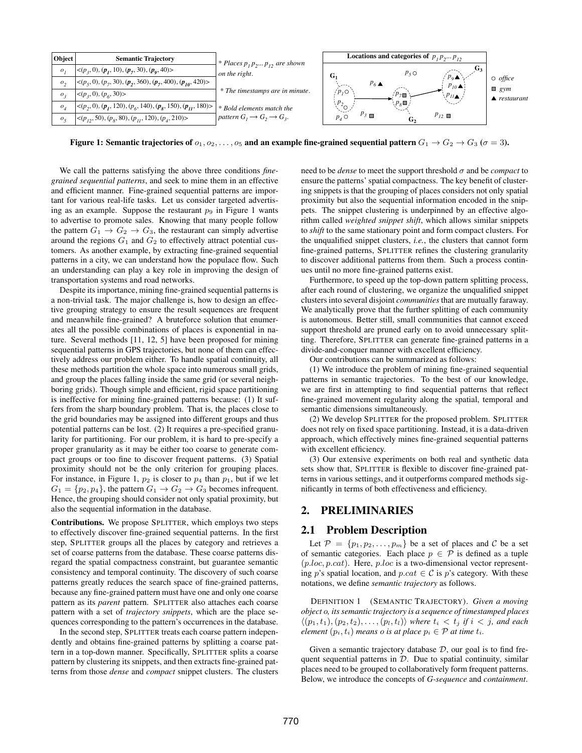

Figure 1: Semantic trajectories of  $o_1, o_2, \ldots, o_5$  and an example fine-grained sequential pattern  $G_1 \to G_2 \to G_3$  ( $\sigma = 3$ ).

We call the patterns satisfying the above three conditions *finegrained sequential patterns*, and seek to mine them in an effective and efficient manner. Fine-grained sequential patterns are important for various real-life tasks. Let us consider targeted advertising as an example. Suppose the restaurant  $p_9$  in Figure 1 wants to advertise to promote sales. Knowing that many people follow the pattern  $G_1 \rightarrow G_2 \rightarrow G_3$ , the restaurant can simply advertise around the regions  $G_1$  and  $G_2$  to effectively attract potential customers. As another example, by extracting fine-grained sequential patterns in a city, we can understand how the populace flow. Such an understanding can play a key role in improving the design of transportation systems and road networks.

Despite its importance, mining fine-grained sequential patterns is a non-trivial task. The major challenge is, how to design an effective grouping strategy to ensure the result sequences are frequent and meanwhile fine-grained? A bruteforce solution that enumerates all the possible combinations of places is exponential in nature. Several methods [11, 12, 5] have been proposed for mining sequential patterns in GPS trajectories, but none of them can effectively address our problem either. To handle spatial continuity, all these methods partition the whole space into numerous small grids, and group the places falling inside the same grid (or several neighboring grids). Though simple and efficient, rigid space partitioning is ineffective for mining fine-grained patterns because: (1) It suffers from the sharp boundary problem. That is, the places close to the grid boundaries may be assigned into different groups and thus potential patterns can be lost. (2) It requires a pre-specified granularity for partitioning. For our problem, it is hard to pre-specify a proper granularity as it may be either too coarse to generate compact groups or too fine to discover frequent patterns. (3) Spatial proximity should not be the only criterion for grouping places. For instance, in Figure 1,  $p_2$  is closer to  $p_4$  than  $p_1$ , but if we let  $G_1 = \{p_2, p_4\}$ , the pattern  $G_1 \rightarrow G_2 \rightarrow G_3$  becomes infrequent. Hence, the grouping should consider not only spatial proximity, but also the sequential information in the database.

Contributions. We propose SPLITTER, which employs two steps to effectively discover fine-grained sequential patterns. In the first step, SPLITTER groups all the places by category and retrieves a set of coarse patterns from the database. These coarse patterns disregard the spatial compactness constraint, but guarantee semantic consistency and temporal continuity. The discovery of such coarse patterns greatly reduces the search space of fine-grained patterns, because any fine-grained pattern must have one and only one coarse pattern as its *parent* pattern. SPLITTER also attaches each coarse pattern with a set of *trajectory snippets*, which are the place sequences corresponding to the pattern's occurrences in the database.

In the second step, SPLITTER treats each coarse pattern independently and obtains fine-grained patterns by splitting a coarse pattern in a top-down manner. Specifically, SPLITTER splits a coarse pattern by clustering its snippets, and then extracts fine-grained patterns from those *dense* and *compact* snippet clusters. The clusters need to be *dense* to meet the support threshold  $\sigma$  and be *compact* to ensure the patterns' spatial compactness. The key benefit of clustering snippets is that the grouping of places considers not only spatial proximity but also the sequential information encoded in the snippets. The snippet clustering is underpinned by an effective algorithm called *weighted snippet shift*, which allows similar snippets to *shift* to the same stationary point and form compact clusters. For the unqualified snippet clusters, *i.e.*, the clusters that cannot form fine-grained patterns, SPLITTER refines the clustering granularity to discover additional patterns from them. Such a process continues until no more fine-grained patterns exist.

Furthermore, to speed up the top-down pattern splitting process, after each round of clustering, we organize the unqualified snippet clusters into several disjoint *communities* that are mutually faraway. We analytically prove that the further splitting of each community is autonomous. Better still, small communities that cannot exceed support threshold are pruned early on to avoid unnecessary splitting. Therefore, SPLITTER can generate fine-grained patterns in a divide-and-conquer manner with excellent efficiency.

Our contributions can be summarized as follows:

(1) We introduce the problem of mining fine-grained sequential patterns in semantic trajectories. To the best of our knowledge, we are first in attempting to find sequential patterns that reflect fine-grained movement regularity along the spatial, temporal and semantic dimensions simultaneously.

(2) We develop SPLITTER for the proposed problem. SPLITTER does not rely on fixed space partitioning. Instead, it is a data-driven approach, which effectively mines fine-grained sequential patterns with excellent efficiency.

(3) Our extensive experiments on both real and synthetic data sets show that, SPLITTER is flexible to discover fine-grained patterns in various settings, and it outperforms compared methods significantly in terms of both effectiveness and efficiency.

# 2. PRELIMINARIES

#### 2.1 Problem Description

Let  $\mathcal{P} = \{p_1, p_2, \ldots, p_m\}$  be a set of places and C be a set of semantic categories. Each place  $p \in \mathcal{P}$  is defined as a tuple  $(p.loc, p.cat)$ . Here, p.loc is a two-dimensional vector representing p's spatial location, and  $p.cat \in C$  is p's category. With these notations, we define *semantic trajectory* as follows.

DEFINITION 1 (SEMANTIC TRAJECTORY). *Given a moving object* o*, its semantic trajectory is a sequence of timestamped places*  $\langle (p_1, t_1), (p_2, t_2), \ldots, (p_l, t_l) \rangle$  *where*  $t_i < t_j$  *if*  $i < j$ *, and each element*  $(p_i, t_i)$  *means o is at place*  $p_i \in \mathcal{P}$  *at time*  $t_i$ *.* 

Given a semantic trajectory database  $D$ , our goal is to find frequent sequential patterns in  $D$ . Due to spatial continuity, similar places need to be grouped to collaboratively form frequent patterns. Below, we introduce the concepts of *G-sequence* and *containment*.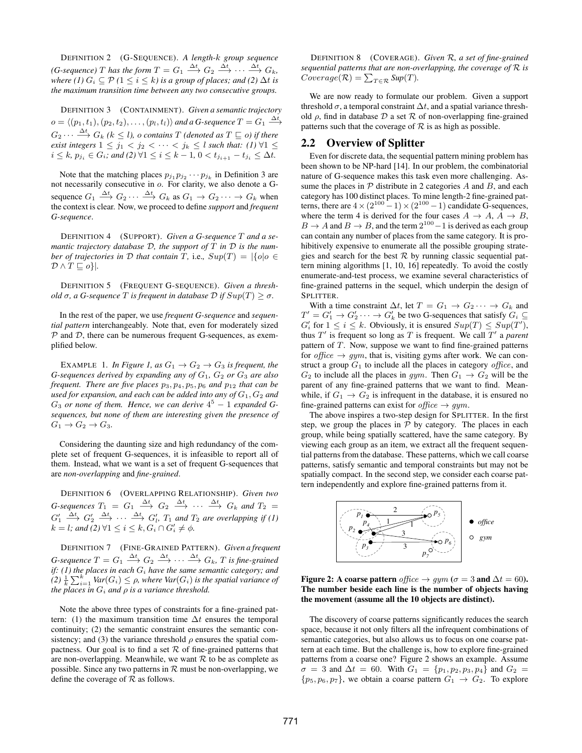DEFINITION 2 (G-SEQUENCE). *A length-*k *group sequence (G-sequence)*  $T$  *has the form*  $T = G_1 \stackrel{\Delta t}{\longrightarrow} G_2 \stackrel{\Delta t}{\longrightarrow} \cdots \stackrel{\Delta t}{\longrightarrow} G_k$ , *where (1)*  $G_i \subseteq \mathcal{P}$  (1  $\leq i \leq k$ ) is a group of places; and (2)  $\Delta t$  *is the maximum transition time between any two consecutive groups.*

DEFINITION 3 (CONTAINMENT). *Given a semantic trajectory*  $o = \langle (p_1, t_1), (p_2, t_2), \ldots, (p_l, t_l)\rangle$  and a G-sequence  $T = G_1 \stackrel{\Delta t}{\longrightarrow}$  $G_2 \cdots \stackrel{\Delta t}{\longrightarrow} G_k$  ( $k \leq l$ ), o contains  $T$  (denoted as  $T \sqsubseteq o$ ) if there *exist integers*  $1 \leq j_1 < j_2 < \cdots < j_k \leq l$  *such that:* (1)  $\forall 1 \leq j_1$  $i \leq k$ *,*  $p_{j_i} \in G_i$ *; and (2)* ∀1  $\leq i \leq k - 1$ , 0 <  $t_{j_{i+1}} - t_{j_i} \leq \Delta t$ .

Note that the matching places  $p_{j_1} p_{j_2} \cdots p_{j_k}$  in Definition 3 are not necessarily consecutive in o. For clarity, we also denote a Gsequence  $G_1 \stackrel{\Delta t}{\longrightarrow} G_2 \cdots \stackrel{\Delta t}{\longrightarrow} G_k$  as  $G_1 \to G_2 \cdots \to G_k$  when the context is clear. Now, we proceed to define *support* and *frequent G-sequence*.

DEFINITION 4 (SUPPORT). *Given a G-sequence* T *and a semantic trajectory database* D*, the support of* T *in* D *is the number of trajectories in*  $D$  *that contain*  $T$ *, i.e.,*  $Sup(T) = |\{o|o \in C\}$  $\mathcal{D} \wedge T \sqsubseteq o$ }|.

DEFINITION 5 (FREQUENT G-SEQUENCE). *Given a threshold*  $\sigma$ *, a G*-sequence *T is frequent in database*  $\mathcal{D}$  *if*  $Sup(T) \geq \sigma$ *.* 

In the rest of the paper, we use *frequent G-sequence* and *sequential pattern* interchangeably. Note that, even for moderately sized  $P$  and  $D$ , there can be numerous frequent G-sequences, as exemplified below.

EXAMPLE 1. *In Figure 1, as*  $G_1 \rightarrow G_2 \rightarrow G_3$  *is frequent, the G-sequences derived by expanding any of*  $G_1$ ,  $G_2$  *or*  $G_3$  *are also frequent. There are five places*  $p_3$ ,  $p_4$ ,  $p_5$ ,  $p_6$  *and*  $p_{12}$  *that can be used for expansion, and each can be added into any of*  $G_1$ ,  $G_2$  *and*  $G_3$  *or none of them. Hence, we can derive*  $4^5 - 1$  *expanded* G*sequences, but none of them are interesting given the presence of*  $G_1 \rightarrow G_2 \rightarrow G_3$ .

Considering the daunting size and high redundancy of the complete set of frequent G-sequences, it is infeasible to report all of them. Instead, what we want is a set of frequent G-sequences that are *non-overlapping* and *fine-grained*.

DEFINITION 6 (OVERLAPPING RELATIONSHIP). *Given two G-sequences*  $T_1 = G_1 \stackrel{\Delta t}{\longrightarrow} G_2 \stackrel{\Delta t}{\longrightarrow} \cdots \stackrel{\Delta t}{\longrightarrow} G_k$  and  $T_2 =$  $G'_1 \stackrel{\Delta t}{\longrightarrow} G'_2 \stackrel{\Delta t}{\longrightarrow} \cdots \stackrel{\Delta t}{\longrightarrow} G'_l$ ,  $T_1$  and  $T_2$  are overlapping if (1)  $k = l$ ; and (2)  $\forall 1 \leq i \leq k$ ,  $G_i \cap G'_i \neq \phi$ .

DEFINITION 7 (FINE-GRAINED PATTERN). *Given a frequent G*-sequence  $T = G_1 \stackrel{\Delta t}{\longrightarrow} G_2 \stackrel{\Delta t}{\longrightarrow} \cdots \stackrel{\Delta t}{\longrightarrow} G_k$ , T is fine-grained *if: (1) the places in each* G<sup>i</sup> *have the same semantic category; and*  $\sum_{i=1}^{k} \sum_{i=1}^{k} Var(G_i) \leq \rho$ , where  $Var(G_i)$  is the spatial variance of *the places in*  $G_i$  *and*  $\rho$  *is a variance threshold.* 

Note the above three types of constraints for a fine-grained pattern: (1) the maximum transition time  $\Delta t$  ensures the temporal continuity; (2) the semantic constraint ensures the semantic consistency; and (3) the variance threshold  $\rho$  ensures the spatial compactness. Our goal is to find a set  $R$  of fine-grained patterns that are non-overlapping. Meanwhile, we want  $R$  to be as complete as possible. Since any two patterns in  $R$  must be non-overlapping, we define the coverage of  $R$  as follows.

DEFINITION 8 (COVERAGE). *Given* R*, a set of fine-grained sequential patterns that are non-overlapping, the coverage of* R *is*  $Coverage(R) = \sum_{T \in \mathcal{R}} Sup(T)$ .

We are now ready to formulate our problem. Given a support threshold  $\sigma$ , a temporal constraint  $\Delta t$ , and a spatial variance threshold  $\rho$ , find in database  $\mathcal D$  a set  $\mathcal R$  of non-overlapping fine-grained patterns such that the coverage of  $R$  is as high as possible.

#### 2.2 Overview of Splitter

Even for discrete data, the sequential pattern mining problem has been shown to be NP-hard [14]. In our problem, the combinatorial nature of G-sequence makes this task even more challenging. Assume the places in  $P$  distribute in 2 categories A and B, and each category has 100 distinct places. To mine length-2 fine-grained patterns, there are  $4 \times (2^{100} - 1) \times (2^{100} - 1)$  candidate G-sequences, where the term 4 is derived for the four cases  $A \rightarrow A$ ,  $A \rightarrow B$ ,  $B \to A$  and  $B \to B$ , and the term  $2^{100} - 1$  is derived as each group can contain any number of places from the same category. It is prohibitively expensive to enumerate all the possible grouping strategies and search for the best  $R$  by running classic sequential pattern mining algorithms [1, 10, 16] repeatedly. To avoid the costly enumerate-and-test process, we examine several characteristics of fine-grained patterns in the sequel, which underpin the design of SPLITTER.

With a time constraint  $\Delta t$ , let  $T = G_1 \rightarrow G_2 \cdots \rightarrow G_k$  and  $T' = G_1' \rightarrow G_2' \cdots \rightarrow G_k'$  be two G-sequences that satisfy  $G_i \subseteq$  $G'_{i}$  for  $1 \leq i \leq k$ . Obviously, it is ensured  $Sup(T) \leq Sup(T')$ , thus  $T'$  is frequent so long as  $T$  is frequent. We call  $T'$  a *parent* pattern of T. Now, suppose we want to find fine-grained patterns for office  $\rightarrow$  gym, that is, visiting gyms after work. We can construct a group  $G_1$  to include all the places in category *office*, and  $G_2$  to include all the places in gym. Then  $G_1 \rightarrow G_2$  will be the parent of any fine-grained patterns that we want to find. Meanwhile, if  $G_1 \rightarrow G_2$  is infrequent in the database, it is ensured no fine-grained patterns can exist for  $\textit{offset} \rightarrow \textit{gym}$ .

The above inspires a two-step design for SPLITTER. In the first step, we group the places in  $P$  by category. The places in each group, while being spatially scattered, have the same category. By viewing each group as an item, we extract all the frequent sequential patterns from the database. These patterns, which we call coarse patterns, satisfy semantic and temporal constraints but may not be spatially compact. In the second step, we consider each coarse pattern independently and explore fine-grained patterns from it.



Figure 2: A coarse pattern office  $\rightarrow$  gym ( $\sigma = 3$  and  $\Delta t = 60$ ). The number beside each line is the number of objects having the movement (assume all the 10 objects are distinct).

The discovery of coarse patterns significantly reduces the search space, because it not only filters all the infrequent combinations of semantic categories, but also allows us to focus on one coarse pattern at each time. But the challenge is, how to explore fine-grained patterns from a coarse one? Figure 2 shows an example. Assume  $\sigma = 3$  and  $\Delta t = 60$ . With  $G_1 = \{p_1, p_2, p_3, p_4\}$  and  $G_2 =$  $\{p_5, p_6, p_7\}$ , we obtain a coarse pattern  $G_1 \rightarrow G_2$ . To explore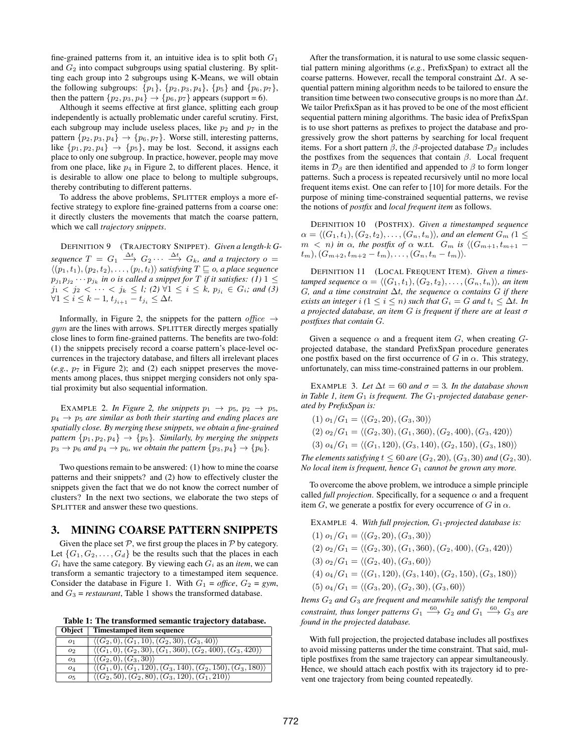fine-grained patterns from it, an intuitive idea is to split both  $G_1$ and  $G_2$  into compact subgroups using spatial clustering. By splitting each group into 2 subgroups using K-Means, we will obtain the following subgroups:  $\{p_1\}$ ,  $\{p_2, p_3, p_4\}$ ,  $\{p_5\}$  and  $\{p_6, p_7\}$ , then the pattern  $\{p_2, p_3, p_4\} \rightarrow \{p_6, p_7\}$  appears (support = 6).

Although it seems effective at first glance, splitting each group independently is actually problematic under careful scrutiny. First, each subgroup may include useless places, like  $p_2$  and  $p_7$  in the pattern  $\{p_2, p_3, p_4\} \rightarrow \{p_6, p_7\}$ . Worse still, interesting patterns, like  $\{p_1, p_2, p_4\} \rightarrow \{p_5\}$ , may be lost. Second, it assigns each place to only one subgroup. In practice, however, people may move from one place, like  $p_4$  in Figure 2, to different places. Hence, it is desirable to allow one place to belong to multiple subgroups, thereby contributing to different patterns.

To address the above problems, SPLITTER employs a more effective strategy to explore fine-grained patterns from a coarse one: it directly clusters the movements that match the coarse pattern, which we call *trajectory snippets*.

DEFINITION 9 (TRAJECTORY SNIPPET). *Given a length-*k *Gsequence*  $T = G_1 \stackrel{\Delta t}{\longrightarrow} G_2 \cdots \stackrel{\Delta t}{\longrightarrow} G_k$ , and a trajectory  $o =$  $\langle (p_1, t_1), (p_2, t_2), \ldots, (p_l, t_l) \rangle$  *satisfying*  $T \sqsubseteq o$ , *a place sequence*  $p_{j_1} p_{j_2} \cdots p_{j_k}$  in 0 is called a snippet for T if it satisfies: (1)  $1 \leq$ j<sup>1</sup> < j<sup>2</sup> < · · · < j<sup>k</sup> ≤ l*; (2)* ∀1 ≤ i ≤ k*,* p<sup>j</sup><sup>i</sup> ∈ Gi*; and (3)*  $\forall 1 \leq i \leq k-1, t_{j_{i+1}} - t_{j_i} \leq \Delta t.$ 

Informally, in Figure 2, the snippets for the pattern office  $\rightarrow$ gym are the lines with arrows. SPLITTER directly merges spatially close lines to form fine-grained patterns. The benefits are two-fold: (1) the snippets precisely record a coarse pattern's place-level occurrences in the trajectory database, and filters all irrelevant places  $(e.g., p_7)$  in Figure 2); and (2) each snippet preserves the movements among places, thus snippet merging considers not only spatial proximity but also sequential information.

EXAMPLE 2. *In Figure 2, the snippets*  $p_1 \rightarrow p_5$ ,  $p_2 \rightarrow p_5$ ,  $p_4 \rightarrow p_5$  are similar as both their starting and ending places are *spatially close. By merging these snippets, we obtain a fine-grained pattern*  $\{p_1, p_2, p_4\}$   $\rightarrow$   $\{p_5\}$ *. Similarly, by merging the snippets*  $p_3 \rightarrow p_6$  and  $p_4 \rightarrow p_6$ , we obtain the pattern  $\{p_3, p_4\} \rightarrow \{p_6\}.$ 

Two questions remain to be answered: (1) how to mine the coarse patterns and their snippets? and (2) how to effectively cluster the snippets given the fact that we do not know the correct number of clusters? In the next two sections, we elaborate the two steps of SPLITTER and answer these two questions.

# 3. MINING COARSE PATTERN SNIPPETS

Given the place set  $P$ , we first group the places in  $P$  by category. Let  $\{G_1, G_2, \ldots, G_d\}$  be the results such that the places in each  $G_i$  have the same category. By viewing each  $G_i$  as an *item*, we can transform a semantic trajectory to a timestamped item sequence. Consider the database in Figure 1. With  $G_1 =$  *office*,  $G_2 =$  *gym*, and  $G_3$  = *restaurant*, Table 1 shows the transformed database.

Table 1: The transformed semantic trajectory database.

| Object         | Timestamped item sequence                                                  |
|----------------|----------------------------------------------------------------------------|
| 01             | $\langle (G_2, 0), (G_1, 10), (G_2, 30), (G_3, 40) \rangle$                |
| O <sub>2</sub> | $\langle (G_1, 0), (G_2, 30), (G_1, 360), (G_2, 400), (G_3, 420) \rangle$  |
| 03             | $\langle (G_2, 0), (G_3, 30) \rangle$                                      |
| 04             | $\langle (G_1, 0), (G_1, 120), (G_3, 140), (G_2, 150), (G_3, 180) \rangle$ |
| 05             | $\langle (G_2, 50), (G_2, 80), (G_3, 120), (G_1, 210) \rangle$             |

After the transformation, it is natural to use some classic sequential pattern mining algorithms (*e.g.*, PrefixSpan) to extract all the coarse patterns. However, recall the temporal constraint  $\Delta t$ . A sequential pattern mining algorithm needs to be tailored to ensure the transition time between two consecutive groups is no more than  $\Delta t$ . We tailor PrefixSpan as it has proved to be one of the most efficient sequential pattern mining algorithms. The basic idea of PrefixSpan is to use short patterns as prefixes to project the database and progressively grow the short patterns by searching for local frequent items. For a short pattern  $β$ , the  $β$ -projected database  $D<sub>β</sub>$  includes the postfixes from the sequences that contain  $\beta$ . Local frequent items in  $\mathcal{D}_{\beta}$  are then identified and appended to  $\beta$  to form longer patterns. Such a process is repeated recursively until no more local frequent items exist. One can refer to [10] for more details. For the purpose of mining time-constrained sequential patterns, we revise the notions of *postfix* and *local frequent item* as follows.

DEFINITION 10 (POSTFIX). *Given a timestamped sequence*  $\alpha = \langle (G_1, t_1), (G_2, t_2), \ldots, (G_n, t_n) \rangle$ *, and an element*  $G_m$  (1  $\leq$  $m \leq n$ ) in  $\alpha$ , the postfix of  $\alpha$  w.r.t.  $G_m$  is  $\langle (G_{m+1}, t_{m+1} (t_m)$ ,  $(G_{m+2}, t_{m+2} - t_m)$ , ...,  $(G_n, t_n - t_m)$ .

DEFINITION 11 (LOCAL FREQUENT ITEM). *Given a timestamped sequence*  $\alpha = \langle (G_1, t_1), (G_2, t_2), \ldots, (G_n, t_n) \rangle$ *, an item* G*, and a time constraint* ∆t*, the sequence* α *contains* G *if there exists an integer*  $i$  ( $1 \leq i \leq n$ ) such that  $G_i = G$  and  $t_i \leq \Delta t$ . In *a projected database, an item* G *is frequent if there are at least* σ *postfixes that contain* G*.*

Given a sequence  $\alpha$  and a frequent item G, when creating Gprojected database, the standard PrefixSpan procedure generates one postfix based on the first occurrence of G in  $\alpha$ . This strategy, unfortunately, can miss time-constrained patterns in our problem.

EXAMPLE 3. Let  $\Delta t = 60$  and  $\sigma = 3$ . In the database shown in Table 1, item  $G_1$  is frequent. The  $G_1$ -projected database gener*ated by PrefixSpan is:*

(1) 
$$
o_1/G_1 = \langle (G_2, 20), (G_3, 30) \rangle
$$
  
(2)  $o_2/G_1 = \langle (G_2, 30), (G_1, 360), (G_2, 400), (G_3, 420) \rangle$   
(3)  $o_4/G_1 = \langle (G_1, 120), (G_3, 140), (G_2, 150), (G_3, 180) \rangle$ 

*The elements satisfying*  $t \leq 60$  *are*  $(G_2, 20)$ *,*  $(G_3, 30)$  *and*  $(G_2, 30)$ *. No local item is frequent, hence* G<sup>1</sup> *cannot be grown any more.*

To overcome the above problem, we introduce a simple principle called *full projection*. Specifically, for a sequence  $\alpha$  and a frequent item G, we generate a postfix for every occurrence of G in  $\alpha$ .

EXAMPLE 4. *With full projection,* G1*-projected database is:*

- $(1)$   $o_1/G_1 = \langle (G_2, 20), (G_3, 30) \rangle$
- $(2)$   $o_2/G_1 = \langle (G_2, 30), (G_1, 360), (G_2, 400), (G_3, 420) \rangle$
- (3)  $o_2/G_1 = \langle (G_2, 40), (G_3, 60) \rangle$
- (4)  $o_4/G_1 = \langle (G_1, 120), (G_3, 140), (G_2, 150), (G_3, 180) \rangle$

 $(5)$   $o_4/G_1 = \langle (G_3, 20), (G_2, 30), (G_3, 60) \rangle$ 

*Items* G<sup>2</sup> *and* G<sup>3</sup> *are frequent and meanwhile satisfy the temporal* constraint, thus longer patterns  $G_1 \stackrel{60}{\longrightarrow} G_2$  and  $G_1 \stackrel{60}{\longrightarrow} G_3$  are *found in the projected database.*

With full projection, the projected database includes all postfixes to avoid missing patterns under the time constraint. That said, multiple postfixes from the same trajectory can appear simultaneously. Hence, we should attach each postfix with its trajectory id to prevent one trajectory from being counted repeatedly.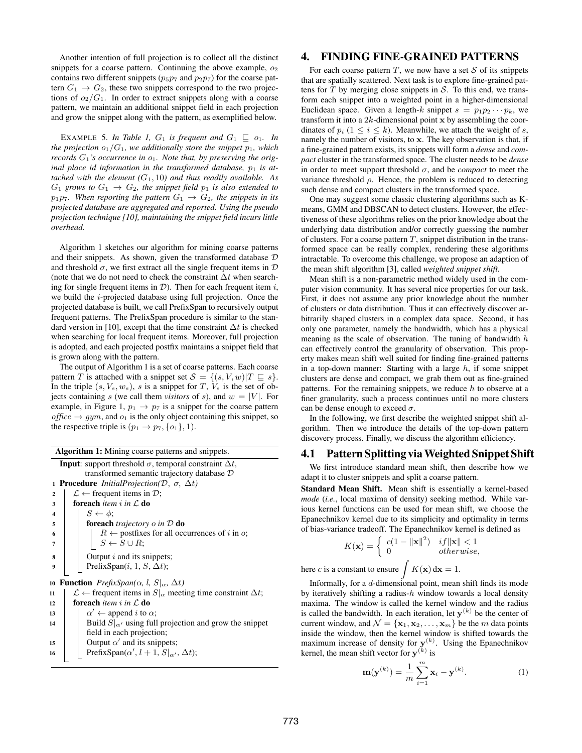Another intention of full projection is to collect all the distinct snippets for a coarse pattern. Continuing the above example,  $o_2$ contains two different snippets ( $p_5p_7$  and  $p_2p_7$ ) for the coarse pattern  $G_1 \rightarrow G_2$ , these two snippets correspond to the two projections of  $o_2/G_1$ . In order to extract snippets along with a coarse pattern, we maintain an additional snippet field in each projection and grow the snippet along with the pattern, as exemplified below.

EXAMPLE 5. In Table 1,  $G_1$  is frequent and  $G_1 \sqsubset o_1$ . In *the projection*  $o_1/G_1$ *, we additionally store the snippet*  $p_1$ *, which records*  $G_1$ 's occurrence in  $o_1$ *. Note that, by preserving the orig*inal place id information in the transformed database,  $p_1$  is at*tached with the element*  $(G_1, 10)$  *and thus readily available. As*  $G_1$  grows to  $G_1 \rightarrow G_2$ , the snippet field  $p_1$  is also extended to  $p_1p_7$ *. When reporting the pattern*  $G_1 \rightarrow G_2$ *, the snippets in its projected database are aggregated and reported. Using the pseudo projection technique [10], maintaining the snippet field incurs little overhead.*

Algorithm 1 sketches our algorithm for mining coarse patterns and their snippets. As shown, given the transformed database D and threshold  $\sigma$ , we first extract all the single frequent items in  $D$ (note that we do not need to check the constraint  $\Delta t$  when searching for single frequent items in  $D$ ). Then for each frequent item  $i$ , we build the i-projected database using full projection. Once the projected database is built, we call PrefixSpan to recursively output frequent patterns. The PrefixSpan procedure is similar to the standard version in [10], except that the time constraint  $\Delta t$  is checked when searching for local frequent items. Moreover, full projection is adopted, and each projected postfix maintains a snippet field that is grown along with the pattern.

The output of Algorithm 1 is a set of coarse patterns. Each coarse pattern T is attached with a snippet set  $S = \{(s, V, w)|T \subseteq s\}.$ In the triple  $(s, V_s, w_s)$ , s is a snippet for T,  $V_s$  is the set of objects containing s (we call them *visitors* of s), and  $w = |V|$ . For example, in Figure 1,  $p_1 \rightarrow p_7$  is a snippet for the coarse pattern  $of\text{fice} \rightarrow qym$ , and  $o_1$  is the only object containing this snippet, so the respective triple is  $(p_1 \rightarrow p_7, \{o_1\}, 1)$ .

| Algorithm 1: Mining coarse patterns and snippets.                                                   |  |  |  |  |
|-----------------------------------------------------------------------------------------------------|--|--|--|--|
| <b>Input</b> : support threshold $\sigma$ , temporal constraint $\Delta t$ ,                        |  |  |  |  |
| transformed semantic trajectory database $D$                                                        |  |  |  |  |
| <b>Procedure</b> InitialProjection( $D$ , $\sigma$ , $\Delta t$ )<br>$\mathbf{1}$                   |  |  |  |  |
| $\mathcal{L} \leftarrow$ frequent items in $\mathcal{D}$ ;<br>$\overline{\mathbf{2}}$               |  |  |  |  |
| foreach <i>item</i> $i$ in $\mathcal L$ do<br>3                                                     |  |  |  |  |
| $S \leftarrow \phi$ :<br>$\overline{\mathbf{4}}$                                                    |  |  |  |  |
| <b>foreach</b> trajectory $o$ in $D$ do<br>5                                                        |  |  |  |  |
| $R \leftarrow$ postfixes for all occurrences of i in o;<br>6                                        |  |  |  |  |
| $\mid S \leftarrow S \cup R;$<br>7                                                                  |  |  |  |  |
| Output $i$ and its snippets;<br>8                                                                   |  |  |  |  |
| PrefixSpan(i, 1, S, $\Delta t$ );<br>9                                                              |  |  |  |  |
| <b>Function</b> <i>PrefixSpan(<math>\alpha</math>, l, S</i>   $_{\alpha}$ , $\Delta t$ )<br>10      |  |  |  |  |
| $\mathcal{L} \leftarrow$ frequent items in $S _{\alpha}$ meeting time constraint $\Delta t$ ;<br>11 |  |  |  |  |
| <b>foreach</b> <i>item i</i> in $\mathcal{L}$ <b>do</b><br>12                                       |  |  |  |  |
| $\alpha' \leftarrow$ append <i>i</i> to $\alpha$ ;<br>13                                            |  |  |  |  |
| Build $S _{\alpha'}$ using full projection and grow the snippet<br>14                               |  |  |  |  |
| field in each projection;                                                                           |  |  |  |  |
| Output $\alpha'$ and its snippets;<br>15                                                            |  |  |  |  |
| PrefixSpan( $\alpha'$ , $l + 1$ , $S _{\alpha'}$ , $\Delta t$ );<br>16                              |  |  |  |  |
|                                                                                                     |  |  |  |  |

# 4. FINDING FINE-GRAINED PATTERNS

For each coarse pattern  $T$ , we now have a set  $S$  of its snippets that are spatially scattered. Next task is to explore fine-grained pattens for  $T$  by merging close snippets in  $S$ . To this end, we transform each snippet into a weighted point in a higher-dimensional Euclidean space. Given a length-k snippet  $s = p_1p_2 \cdots p_k$ , we transform it into a  $2k$ -dimensional point  $x$  by assembling the coordinates of  $p_i$  ( $1 \leq i \leq k$ ). Meanwhile, we attach the weight of s, namely the number of visitors, to x. The key observation is that, if a fine-grained pattern exists, its snippets will form a *dense* and *compact* cluster in the transformed space. The cluster needs to be *dense* in order to meet support threshold  $\sigma$ , and be *compact* to meet the variance threshold  $\rho$ . Hence, the problem is reduced to detecting such dense and compact clusters in the transformed space.

One may suggest some classic clustering algorithms such as Kmeans, GMM and DBSCAN to detect clusters. However, the effectiveness of these algorithms relies on the prior knowledge about the underlying data distribution and/or correctly guessing the number of clusters. For a coarse pattern  $T$ , snippet distribution in the transformed space can be really complex, rendering these algorithms intractable. To overcome this challenge, we propose an adaption of the mean shift algorithm [3], called *weighted snippet shift*.

Mean shift is a non-parametric method widely used in the computer vision community. It has several nice properties for our task. First, it does not assume any prior knowledge about the number of clusters or data distribution. Thus it can effectively discover arbitrarily shaped clusters in a complex data space. Second, it has only one parameter, namely the bandwidth, which has a physical meaning as the scale of observation. The tuning of bandwidth  $h$ can effectively control the granularity of observation. This property makes mean shift well suited for finding fine-grained patterns in a top-down manner: Starting with a large  $h$ , if some snippet clusters are dense and compact, we grab them out as fine-grained patterns. For the remaining snippets, we reduce  $h$  to observe at a finer granularity, such a process continues until no more clusters can be dense enough to exceed  $\sigma$ .

In the following, we first describe the weighted snippet shift algorithm. Then we introduce the details of the top-down pattern discovery process. Finally, we discuss the algorithm efficiency.

# 4.1 Pattern Splitting viaWeighted Snippet Shift

We first introduce standard mean shift, then describe how we adapt it to cluster snippets and split a coarse pattern.

Standard Mean Shift. Mean shift is essentially a kernel-based *mode* (*i.e.*, local maxima of density) seeking method. While various kernel functions can be used for mean shift, we choose the Epanechnikov kernel due to its simplicity and optimality in terms of bias-variance tradeoff. The Epanechnikov kernel is defined as

$$
K(\mathbf{x}) = \begin{cases} c(1 - ||\mathbf{x}||^2) & if ||\mathbf{x}|| < 1\\ 0 & otherwise, \end{cases}
$$

here c is a constant to ensure  $\int K(\mathbf{x}) d\mathbf{x} = 1$ .

Informally, for a d-dimensional point, mean shift finds its mode by iteratively shifting a radius- $h$  window towards a local density maxima. The window is called the kernel window and the radius is called the bandwidth. In each iteration, let  $y^{(k)}$  be the center of current window, and  $\mathcal{N} = {\mathbf{x}_1, \mathbf{x}_2, \dots, \mathbf{x}_m}$  be the m data points inside the window, then the kernel window is shifted towards the maximum increase of density for  $y^{(k)}$ . Using the Epanechnikov kernel, the mean shift vector for  $y^{(k)}$  is

$$
\mathbf{m}(\mathbf{y}^{(k)}) = \frac{1}{m} \sum_{i=1}^{m} \mathbf{x}_i - \mathbf{y}^{(k)}.
$$
 (1)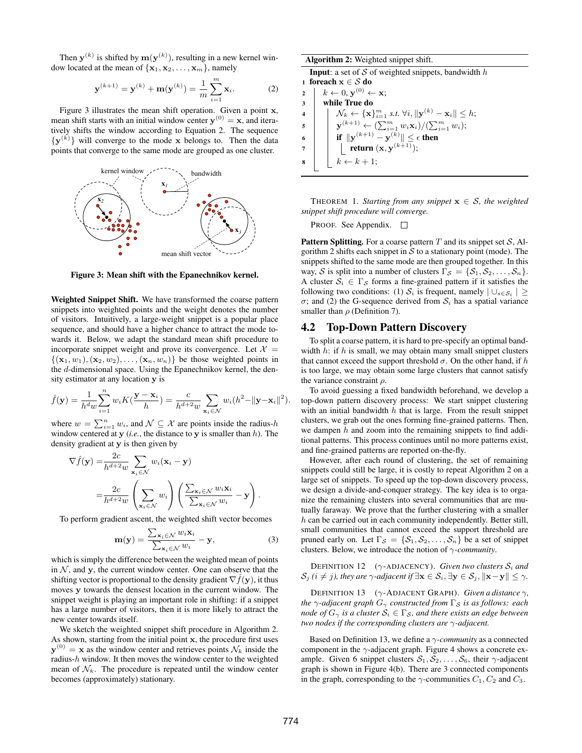Then  $y^{(k)}$  is shifted by  $m(y^{(k)})$ , resulting in a new kernel window located at the mean of  ${x_1, x_2, \ldots, x_m}$ , namely

$$
\mathbf{y}^{(k+1)} = \mathbf{y}^{(k)} + \mathbf{m}(\mathbf{y}^{(k)}) = \frac{1}{m} \sum_{i=1}^{m} \mathbf{x}_i.
$$
 (2)

Figure 3 illustrates the mean shift operation. Given a point x, mean shift starts with an initial window center  $y^{(0)} = x$ , and iteratively shifts the window according to Equation 2. The sequence  $\{{\bf y}^{(k)}\}$  will converge to the mode x belongs to. Then the data points that converge to the same mode are grouped as one cluster.



Figure 3: Mean shift with the Epanechnikov kernel.

Weighted Snippet Shift. We have transformed the coarse pattern snippets into weighted points and the weight denotes the number of visitors. Intuitively, a large-weight snippet is a popular place sequence, and should have a higher chance to attract the mode towards it. Below, we adapt the standard mean shift procedure to incorporate snippet weight and prove its convergence. Let  $\mathcal{X} =$  $\{(x_1, w_1), (x_2, w_2), \ldots, (x_n, w_n)\}\)$  be those weighted points in the d-dimensional space. Using the Epanechnikov kernel, the density estimator at any location y is

$$
\hat{f}(\mathbf{y}) = \frac{1}{h^d w} \sum_{i=1}^n w_i K(\frac{\mathbf{y} - \mathbf{x}_i}{h}) = \frac{c}{h^{d+2} w} \sum_{\mathbf{x}_i \in \mathcal{N}} w_i (h^2 - ||\mathbf{y} - \mathbf{x}_i||^2).
$$

where  $w = \sum_{i=1}^{n} w_i$ , and  $\mathcal{N} \subseteq \mathcal{X}$  are points inside the radius- $h$ window centered at  $y$  (*i.e.*, the distance to  $y$  is smaller than  $h$ ). The density gradient at y is then given by

$$
\nabla \hat{f}(\mathbf{y}) = \frac{2c}{h^{d+2}w} \sum_{\mathbf{x}_i \in \mathcal{N}} w_i(\mathbf{x}_i - \mathbf{y})
$$

$$
= \frac{2c}{h^{d+2}w} \left(\sum_{\mathbf{x}_i \in \mathcal{N}} w_i\right) \left(\frac{\sum_{\mathbf{x}_i \in \mathcal{N}} w_i \mathbf{x}_i}{\sum_{\mathbf{x}_i \in \mathcal{N}} w_i} - \mathbf{y}\right)
$$

To perform gradient ascent, the weighted shift vector becomes

$$
\mathbf{m}(\mathbf{y}) = \frac{\sum_{\mathbf{x}_i \in \mathcal{N}} w_i \mathbf{x}_i}{\sum_{\mathbf{x}_i \in \mathcal{N}} w_i} - \mathbf{y},\tag{3}
$$

.

which is simply the difference between the weighted mean of points in  $N$ , and y, the current window center. One can observe that the shifting vector is proportional to the density gradient  $\nabla \hat{f}(\mathbf{y})$ , it thus moves y towards the densest location in the current window. The snippet weight is playing an important role in shifting: if a snippet has a large number of visitors, then it is more likely to attract the new center towards itself.

We sketch the weighted snippet shift procedure in Algorithm 2. As shown, starting from the initial point x, the procedure first uses  $y^{(0)} = x$  as the window center and retrieves points  $\mathcal{N}_k$  inside the radius- $h$  window. It then moves the window center to the weighted mean of  $\mathcal{N}_k$ . The procedure is repeated until the window center becomes (approximately) stationary.

#### Algorithm 2: Weighted snippet shift.

|                | <b>Input:</b> a set of S of weighted snippets, bandwidth h                                                                                                                                                  |  |  |  |  |
|----------------|-------------------------------------------------------------------------------------------------------------------------------------------------------------------------------------------------------------|--|--|--|--|
|                | 1 foreach $x \in \mathcal{S}$ do                                                                                                                                                                            |  |  |  |  |
|                | $k \leftarrow 0, \mathbf{y}^{(0)} \leftarrow \mathbf{x};$<br>$\overline{2}$                                                                                                                                 |  |  |  |  |
| 3 <sup>1</sup> | while True do                                                                                                                                                                                               |  |  |  |  |
|                | $\mathcal{N}_k \leftarrow {\mathbf{x}}_{i=1}^m \text{ s.t. } \forall i,   \mathbf{y}^{(k)} - \mathbf{x}_i   \leq h;$<br>$\mathbf{y}^{(k+1)} \leftarrow (\sum_{i=1}^m w_i \mathbf{x}_i)/(\sum_{i=1}^m w_i);$ |  |  |  |  |
| 5              |                                                                                                                                                                                                             |  |  |  |  |
| 6              | if $\ \mathbf{y}^{(k+1)} - \mathbf{y}^{(k)}\  \leq \epsilon$ then                                                                                                                                           |  |  |  |  |
|                | <b>return</b> $(\mathbf{x}, \mathbf{y}^{(k+1)});$                                                                                                                                                           |  |  |  |  |
| $\mathbf{8}$   | $k \leftarrow k + 1$ ;                                                                                                                                                                                      |  |  |  |  |
|                |                                                                                                                                                                                                             |  |  |  |  |

THEOREM 1. *Starting from any snippet*  $x \in S$ *, the weighted snippet shift procedure will converge.*

PROOF. See Appendix. □

**Pattern Splitting.** For a coarse pattern  $T$  and its snippet set  $S$ , Algorithm 2 shifts each snippet in  $S$  to a stationary point (mode). The snippets shifted to the same mode are then grouped together. In this way, S is split into a number of clusters  $\Gamma_{\mathcal{S}} = {\mathcal{S}_1, \mathcal{S}_2, \ldots, \mathcal{S}_n}$ . A cluster  $S_i \in \Gamma_S$  forms a fine-grained pattern if it satisfies the following two conditions: (1)  $S_i$  is frequent, namely  $| \cup_{s \in S_i} | \geq$ σ; and (2) the G-sequence derived from  $S_i$  has a spatial variance smaller than  $\rho$  (Definition 7).

## 4.2 Top-Down Pattern Discovery

To split a coarse pattern, it is hard to pre-specify an optimal bandwidth  $h$ : if  $h$  is small, we may obtain many small snippet clusters that cannot exceed the support threshold  $\sigma$ . On the other hand, if h is too large, we may obtain some large clusters that cannot satisfy the variance constraint  $\rho$ .

To avoid guessing a fixed bandwidth beforehand, we develop a top-down pattern discovery process: We start snippet clustering with an initial bandwidth  $h$  that is large. From the result snippet clusters, we grab out the ones forming fine-grained patterns. Then, we dampen  $h$  and zoom into the remaining snippets to find additional patterns. This process continues until no more patterns exist, and fine-grained patterns are reported on-the-fly.

However, after each round of clustering, the set of remaining snippets could still be large, it is costly to repeat Algorithm 2 on a large set of snippets. To speed up the top-down discovery process, we design a divide-and-conquer strategy. The key idea is to organize the remaining clusters into several communities that are mutually faraway. We prove that the further clustering with a smaller h can be carried out in each community independently. Better still, small communities that cannot exceed the support threshold are pruned early on. Let  $\Gamma_{\mathcal{S}} = {\mathcal{S}_1, \mathcal{S}_2, \ldots, \mathcal{S}_n}$  be a set of snippet clusters. Below, we introduce the notion of γ*-community*.

**DEFINITION 12** ( $\gamma$ -ADJACENCY). *Given two clusters*  $S_i$  *and*  $\mathcal{S}_i$  *(i*  $\neq j$ *), they are*  $\gamma$ -adjacent if  $\exists$ **x**  $\in$   $\mathcal{S}_i$ ,  $\exists$ **y**  $\in$   $\mathcal{S}_i$ ,  $\|\mathbf{x}-\mathbf{y}\|$   $\leq \gamma$ .

DEFINITION 13 (γ-ADJACENT GRAPH). *Given a distance* γ*, the*  $γ$ -adjacent graph  $G_γ$  constructed from Γs is as follows: each *node of*  $G_\gamma$  *is a cluster*  $S_i \in \Gamma_S$ *, and there exists an edge between two nodes if the corresponding clusters are* γ*-adjacent.*

Based on Definition 13, we define a γ*-community* as a connected component in the  $\gamma$ -adjacent graph. Figure 4 shows a concrete example. Given 6 snippet clusters  $S_1, S_2, \ldots, S_6$ , their  $\gamma$ -adjacent graph is shown in Figure 4(b). There are 3 connected components in the graph, corresponding to the  $\gamma$ -communities  $C_1, C_2$  and  $C_3$ .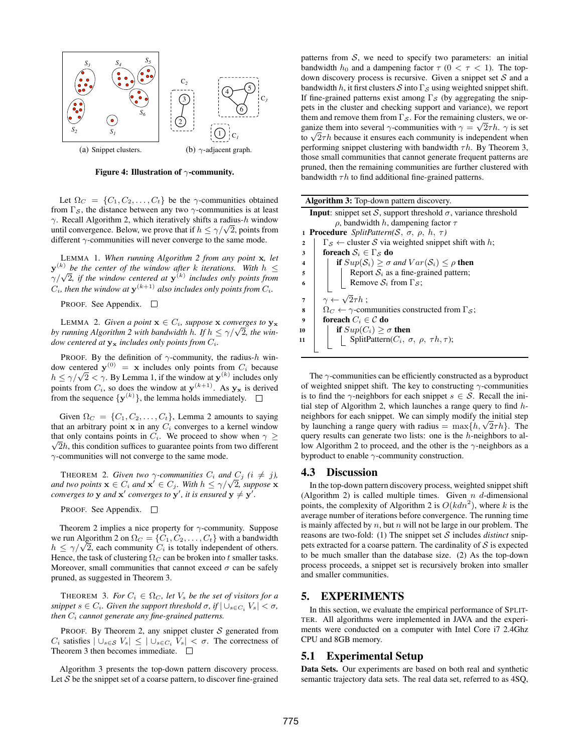

Figure 4: Illustration of  $\gamma$ -community.

Let  $\Omega_C = \{C_1, C_2, \ldots, C_t\}$  be the  $\gamma$ -communities obtained from  $\Gamma_{\mathcal{S}}$ , the distance between any two  $\gamma$ -communities is at least  $\gamma$ . Recall Algorithm 2, which iteratively shifts a radius-h window  $\gamma$ . Recall Algorithm 2, which iteratively shifts a radius-*h* window<br>until convergence. Below, we prove that if  $h \leq \gamma/\sqrt{2}$ , points from different γ-communities will never converge to the same mode.

LEMMA 1. *When running Algorithm 2 from any point* x*, let*  $\mathbf{y}^{(k)}$  be the center of the window after k iterations. With  $h \leq \gamma/\sqrt{2}$ , if the window centered at  $\mathbf{y}^{(k)}$  includes only points from  $C_i$ , then the window at  $y^{(k+1)}$  also includes only points from  $C_i$ .

PROOF. See Appendix. □

LEMMA 2. *Given a point*  $\mathbf{x} \in C_i$ *, suppose* x *converges to*  $\mathbf{y}_\mathbf{x}$ *by running Algorithm 2 with bandwidth h. If* $h \leq \gamma/\sqrt{2}$ **, the win-<br>***by running Algorithm 2 with bandwidth h. If* $h \leq \gamma/\sqrt{2}$ **, the win***dow centered at*  $y_x$  *includes only points from*  $C_i$ *.* 

PROOF. By the definition of  $\gamma$ -community, the radius-h window centered  $y^{(0)} = x$  includes only points from  $C_i$  because dow centered  $\mathbf{y}^{\gamma\gamma} = \mathbf{x}$  includes only points from  $U_i$  because  $h \leq \gamma/\sqrt{2} < \gamma$ . By Lemma 1, if the window at  $\mathbf{y}^{(k)}$  includes only points from  $C_i$ , so does the window at  $y^{(k+1)}$ . As  $y_x$  is derived from the sequence  $\{y^{(k)}\}$ , the lemma holds immediately.

Given  $\Omega_C = \{C_1, C_2, \ldots, C_t\}$ , Lemma 2 amounts to saying that an arbitrary point  $x$  in any  $C_i$  converges to a kernel window that only contains points in  $C_i$ . We proceed to show when  $\gamma \geq$  $\sqrt{2h}$ , this condition suffices to guarantee points from two different  $\gamma$ -communities will not converge to the same mode.

**THEOREM 2.** *Given two* $\gamma$ **-communities**  $C_i$  **and**  $C_j$  **(i**  $\neq j$ **),** *and two points* $x \in C_i$ *and*  $x' \in C_j$ *. With*  $h \leq \gamma/\sqrt{2}$ *, suppose*  $x$ *converges to* **y** and **x**<sup> $\prime$ </sup> *converges to* **y**<sup> $\prime$ </sup>, *it is ensured* **y**  $\neq$  **y**<sup> $\prime$ </sup>.

PROOF. See Appendix. □

Theorem 2 implies a nice property for  $\gamma$ -community. Suppose we run Algorithm 2 on  $\Omega_C = \{C_1, C_2, \ldots, C_t\}$  with a bandwidth we run Algorithm 2 on  $\Omega_C = \{C_1, C_2, \ldots, C_t\}$  with a bandwidth  $h \leq \gamma/\sqrt{2}$ , each community  $C_i$  is totally independent of others. Hence, the task of clustering  $\Omega_C$  can be broken into t smaller tasks. Moreover, small communities that cannot exceed  $\sigma$  can be safely pruned, as suggested in Theorem 3.

THEOREM 3. *For*  $C_i \in \Omega_C$ , let  $V_s$  *be the set of visitors for a snippet*  $s \in C_i$ *. Given the support threshold*  $\sigma$ *, if*  $|\bigcup_{s \in C_i} V_s| < \sigma$ *, then*  $C_i$  *cannot generate any fine-grained patterns.* 

PROOF. By Theorem 2, any snippet cluster  $S$  generated from  $C_i$  satisfies  $| \cup_{s \in \mathcal{S}} V_s | \leq | \cup_{s \in C_i} V_s | < \sigma$ . The correctness of Theorem 3 then becomes immediate.  $\Box$ 

Algorithm 3 presents the top-down pattern discovery process. Let  $S$  be the snippet set of a coarse pattern, to discover fine-grained patterns from  $S$ , we need to specify two parameters: an initial bandwidth  $h_0$  and a dampening factor  $\tau$  (0  $< \tau < 1$ ). The topdown discovery process is recursive. Given a snippet set  $S$  and a bandwidth h, it first clusters S into  $\Gamma_{\mathcal{S}}$  using weighted snippet shift. If fine-grained patterns exist among  $\Gamma_{\mathcal{S}}$  (by aggregating the snippets in the cluster and checking support and variance), we report them and remove them from  $\Gamma_{\mathcal{S}}$ . For the remaining clusters, we organize them into several  $\gamma$ -communities with  $\gamma = \sqrt{2\tau h}$ .  $\gamma$  is set ganize them into several  $\gamma$ -communities with  $\gamma = \sqrt{2\tau}h$ .  $\gamma$  is set to  $\sqrt{2\tau}h$  because it ensures each community is independent when performing snippet clustering with bandwidth  $\tau h$ . By Theorem 3, those small communities that cannot generate frequent patterns are pruned, then the remaining communities are further clustered with bandwidth  $\tau h$  to find additional fine-grained patterns.

| <b>Algorithm 3:</b> Top-down pattern discovery.                                                            |  |  |  |  |
|------------------------------------------------------------------------------------------------------------|--|--|--|--|
| <b>Input</b> : snippet set S, support threshold $\sigma$ , variance threshold                              |  |  |  |  |
| $\rho$ , bandwidth h, dampening factor $\tau$                                                              |  |  |  |  |
| <b>Procedure</b> SplitPattern(S, $\sigma$ , $\rho$ , h, $\tau$ )<br>$\mathbf{1}$                           |  |  |  |  |
| $\Gamma_{\mathcal{S}} \leftarrow$ cluster $\mathcal{S}$ via weighted snippet shift with h;<br>$\mathbf{2}$ |  |  |  |  |
| foreach $S_i \in \Gamma_S$ do<br>3                                                                         |  |  |  |  |
| if $Sup(\mathcal{S}_i) > \sigma$ and $Var(\mathcal{S}_i) < \rho$ then<br>4                                 |  |  |  |  |
| Report $S_i$ as a fine-grained pattern;<br>5                                                               |  |  |  |  |
| Remove $S_i$ from $\Gamma_{\mathcal{S}}$ ;<br>6                                                            |  |  |  |  |
|                                                                                                            |  |  |  |  |
| $\gamma \leftarrow \sqrt{2}\tau h$ ;<br>$\overline{7}$                                                     |  |  |  |  |
| $\Omega_C \leftarrow \gamma$ -communities constructed from $\Gamma_S$ ;<br>8                               |  |  |  |  |
| foreach $C_i \in \mathcal{C}$ do<br>9                                                                      |  |  |  |  |
| if $Sup(C_i) \geq \sigma$ then<br>10                                                                       |  |  |  |  |
| SplitPattern( $C_i$ , $\sigma$ , $\rho$ , $\tau h$ , $\tau$ );<br>11                                       |  |  |  |  |
|                                                                                                            |  |  |  |  |
|                                                                                                            |  |  |  |  |

The  $\gamma$ -communities can be efficiently constructed as a byproduct of weighted snippet shift. The key to constructing  $\gamma$ -communities is to find the  $\gamma$ -neighbors for each snippet  $s \in \mathcal{S}$ . Recall the initial step of Algorithm 2, which launches a range query to find hneighbors for each snippet. We can simply modify the initial step neighbors for each snippet. We can simply modify the initial step<br>by launching a range query with radius  $=$   $\max\{h, \sqrt{2\tau}h\}$ . The query results can generate two lists: one is the h-neighbors to allow Algorithm 2 to proceed, and the other is the  $\gamma$ -neighbors as a by product to enable  $\gamma$ -community construction.

#### 4.3 Discussion

In the top-down pattern discovery process, weighted snippet shift (Algorithm 2) is called multiple times. Given  $n$  d-dimensional points, the complexity of Algorithm 2 is  $O(kdn^2)$ , where k is the average number of iterations before convergence. The running time is mainly affected by  $n$ , but  $n$  will not be large in our problem. The reasons are two-fold: (1) The snippet set S includes *distinct* snippets extracted for a coarse pattern. The cardinality of  $S$  is expected to be much smaller than the database size. (2) As the top-down process proceeds, a snippet set is recursively broken into smaller and smaller communities.

# 5. EXPERIMENTS

In this section, we evaluate the empirical performance of SPLIT-TER. All algorithms were implemented in JAVA and the experiments were conducted on a computer with Intel Core i7 2.4Ghz CPU and 8GB memory.

## 5.1 Experimental Setup

Data Sets. Our experiments are based on both real and synthetic semantic trajectory data sets. The real data set, referred to as 4SQ,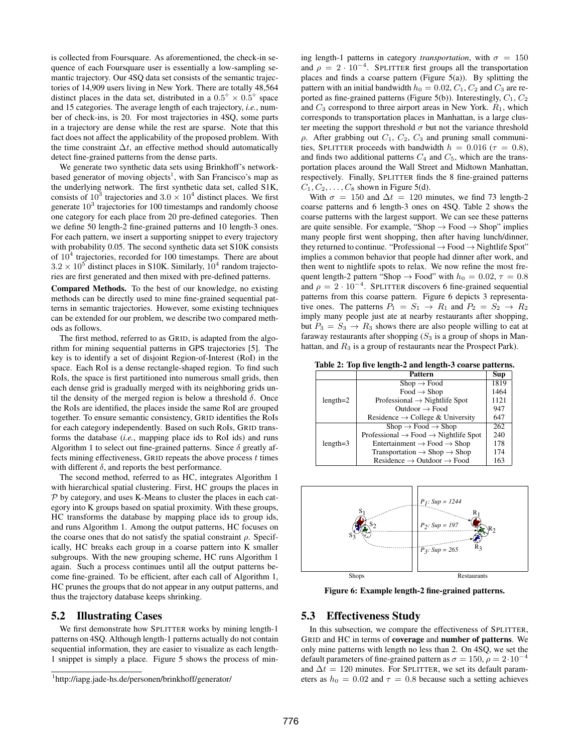is collected from Foursquare. As aforementioned, the check-in sequence of each Foursquare user is essentially a low-sampling semantic trajectory. Our 4SQ data set consists of the semantic trajectories of 14,909 users living in New York. There are totally 48,564 distinct places in the data set, distributed in a  $0.5^{\circ} \times 0.5^{\circ}$  space and 15 categories. The average length of each trajectory, *i.e.*, number of check-ins, is 20. For most trajectories in 4SQ, some parts in a trajectory are dense while the rest are sparse. Note that this fact does not affect the applicability of the proposed problem. With the time constraint  $\Delta t$ , an effective method should automatically detect fine-grained patterns from the dense parts.

We generate two synthetic data sets using Brinkhoff's networkbased generator of moving objects<sup>1</sup>, with San Francisco's map as the underlying network. The first synthetic data set, called S1K, consists of  $10^3$  trajectories and  $3.0 \times 10^4$  distinct places. We first generate  $10^3$  trajectories for 100 timestamps and randomly choose one category for each place from 20 pre-defined categories. Then we define 50 length-2 fine-grained patterns and 10 length-3 ones. For each pattern, we insert a supporting snippet to every trajectory with probability 0.05. The second synthetic data set S10K consists of  $10<sup>4</sup>$  trajectories, recorded for 100 timestamps. There are about  $3.2 \times 10^5$  distinct places in S10K. Similarly,  $10^4$  random trajectories are first generated and then mixed with pre-defined patterns.

Compared Methods. To the best of our knowledge, no existing methods can be directly used to mine fine-grained sequential patterns in semantic trajectories. However, some existing techniques can be extended for our problem, we describe two compared methods as follows.

The first method, referred to as GRID, is adapted from the algorithm for mining sequential patterns in GPS trajectories [5]. The key is to identify a set of disjoint Region-of-Interest (RoI) in the space. Each RoI is a dense rectangle-shaped region. To find such RoIs, the space is first partitioned into numerous small grids, then each dense grid is gradually merged with its neighboring grids until the density of the merged region is below a threshold  $\delta$ . Once the RoIs are identified, the places inside the same RoI are grouped together. To ensure semantic consistency, GRID identifies the RoIs for each category independently. Based on such RoIs, GRID transforms the database (*i.e.*, mapping place ids to RoI ids) and runs Algorithm 1 to select out fine-grained patterns. Since  $\delta$  greatly affects mining effectiveness, GRID repeats the above process  $t$  times with different  $\delta$ , and reports the best performance.

The second method, referred to as HC, integrates Algorithm 1 with hierarchical spatial clustering. First, HC groups the places in  $P$  by category, and uses K-Means to cluster the places in each category into K groups based on spatial proximity. With these groups, HC transforms the database by mapping place ids to group ids, and runs Algorithm 1. Among the output patterns, HC focuses on the coarse ones that do not satisfy the spatial constraint  $\rho$ . Specifically, HC breaks each group in a coarse pattern into K smaller subgroups. With the new grouping scheme, HC runs Algorithm 1 again. Such a process continues until all the output patterns become fine-grained. To be efficient, after each call of Algorithm 1, HC prunes the groups that do not appear in any output patterns, and thus the trajectory database keeps shrinking.

# 5.2 Illustrating Cases

We first demonstrate how SPLITTER works by mining length-1 patterns on 4SQ. Although length-1 patterns actually do not contain sequential information, they are easier to visualize as each length-1 snippet is simply a place. Figure 5 shows the process of mining length-1 patterns in category *transportation*, with  $\sigma = 150$ and  $\rho = 2 \cdot 10^{-4}$ . SPLITTER first groups all the transportation places and finds a coarse pattern (Figure 5(a)). By splitting the pattern with an initial bandwidth  $h_0 = 0.02, C_1, C_2$  and  $C_3$  are reported as fine-grained patterns (Figure 5(b)). Interestingly,  $C_1$ ,  $C_2$ and  $C_3$  correspond to three airport areas in New York.  $R_1$ , which corresponds to transportation places in Manhattan, is a large cluster meeting the support threshold  $\sigma$  but not the variance threshold  $ρ$ . After grabbing out  $C_1$ ,  $C_2$ ,  $C_3$  and pruning small communities, SPLITTER proceeds with bandwidth  $h = 0.016$  ( $\tau = 0.8$ ), and finds two additional patterns  $C_4$  and  $C_5$ , which are the transportation places around the Wall Street and Midtown Manhattan, respectively. Finally, SPLITTER finds the 8 fine-grained patterns  $C_1, C_2, \ldots, C_8$  shown in Figure 5(d).

With  $\sigma = 150$  and  $\Delta t = 120$  minutes, we find 73 length-2 coarse patterns and 6 length-3 ones on 4SQ. Table 2 shows the coarse patterns with the largest support. We can see these patterns are quite sensible. For example, "Shop  $\rightarrow$  Food  $\rightarrow$  Shop" implies many people first went shopping, then after having lunch/dinner, they returned to continue. "Professional  $\rightarrow$  Food  $\rightarrow$  Nightlife Spot" implies a common behavior that people had dinner after work, and then went to nightlife spots to relax. We now refine the most frequent length-2 pattern "Shop  $\rightarrow$  Food" with  $h_0 = 0.02$ ,  $\tau = 0.8$ and  $\rho = 2 \cdot 10^{-4}$ . SPLITTER discovers 6 fine-grained sequential patterns from this coarse pattern. Figure 6 depicts 3 representative ones. The patterns  $P_1 = S_1 \rightarrow R_1$  and  $P_2 = S_2 \rightarrow R_2$ imply many people just ate at nearby restaurants after shopping, but  $P_3 = S_3 \rightarrow R_3$  shows there are also people willing to eat at faraway restaurants after shopping  $(S_3$  is a group of shops in Manhattan, and  $R_3$  is a group of restaurants near the Prospect Park).

Table 2: Top five length-2 and length-3 coarse patterns.

|            | <b>Pattern</b>                                               | <b>Sup</b> |
|------------|--------------------------------------------------------------|------------|
|            | $Show \rightarrow Food$                                      | 1819       |
|            | Food $\rightarrow$ Shop                                      | 1464       |
| $length=2$ | Professional $\rightarrow$ Nightlife Spot                    | 1121       |
|            | Outdoor $\rightarrow$ Food                                   | 947        |
|            | Residence $\rightarrow$ College & University                 | 647        |
|            | $Show \rightarrow Food \rightarrow Shop$                     | 262        |
|            | Professional $\rightarrow$ Food $\rightarrow$ Nightlife Spot | 240        |
| $length=3$ | Entertainment $\rightarrow$ Food $\rightarrow$ Shop          | 178        |
|            | Transportation $\rightarrow$ Shop $\rightarrow$ Shop         | 174        |
|            | $Residence \rightarrow Outdoor \rightarrow Food$             | 163        |



Figure 6: Example length-2 fine-grained patterns.

## 5.3 Effectiveness Study

In this subsection, we compare the effectiveness of SPLITTER, GRID and HC in terms of coverage and number of patterns. We only mine patterns with length no less than 2. On 4SQ, we set the default parameters of fine-grained pattern as  $\sigma = 150$ ,  $\rho = 2 \cdot 10^{-4}$ and  $\Delta t = 120$  minutes. For SPLITTER, we set its default parameters as  $h_0 = 0.02$  and  $\tau = 0.8$  because such a setting achieves

<sup>1</sup> http://iapg.jade-hs.de/personen/brinkhoff/generator/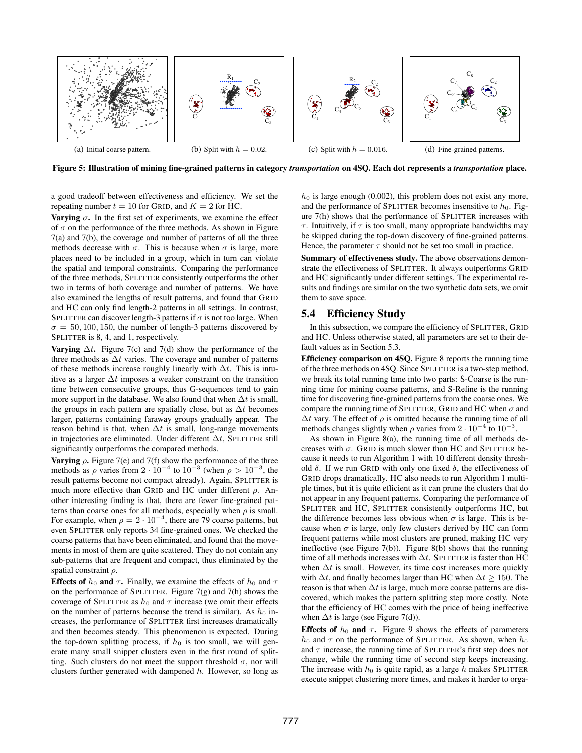

Figure 5: Illustration of mining fine-grained patterns in category *transportation* on 4SQ. Each dot represents a *transportation* place.

a good tradeoff between effectiveness and efficiency. We set the repeating number  $t = 10$  for GRID, and  $K = 2$  for HC.

Varying  $\sigma$ . In the first set of experiments, we examine the effect of  $\sigma$  on the performance of the three methods. As shown in Figure 7(a) and 7(b), the coverage and number of patterns of all the three methods decrease with  $\sigma$ . This is because when  $\sigma$  is large, more places need to be included in a group, which in turn can violate the spatial and temporal constraints. Comparing the performance of the three methods, SPLITTER consistently outperforms the other two in terms of both coverage and number of patterns. We have also examined the lengths of result patterns, and found that GRID and HC can only find length-2 patterns in all settings. In contrast, SPLITTER can discover length-3 patterns if  $\sigma$  is not too large. When  $\sigma = 50, 100, 150$ , the number of length-3 patterns discovered by SPLITTER is 8, 4, and 1, respectively.

Varying  $\Delta t$ . Figure 7(c) and 7(d) show the performance of the three methods as  $\Delta t$  varies. The coverage and number of patterns of these methods increase roughly linearly with  $\Delta t$ . This is intuitive as a larger  $\Delta t$  imposes a weaker constraint on the transition time between consecutive groups, thus G-sequences tend to gain more support in the database. We also found that when  $\Delta t$  is small, the groups in each pattern are spatially close, but as  $\Delta t$  becomes larger, patterns containing faraway groups gradually appear. The reason behind is that, when  $\Delta t$  is small, long-range movements in trajectories are eliminated. Under different ∆t, SPLITTER still significantly outperforms the compared methods.

Varying  $\rho$ . Figure 7(e) and 7(f) show the performance of the three methods as  $\rho$  varies from  $2 \cdot 10^{-4}$  to  $10^{-3}$  (when  $\rho > 10^{-3}$ , the result patterns become not compact already). Again, SPLITTER is much more effective than GRID and HC under different  $\rho$ . Another interesting finding is that, there are fewer fine-grained patterns than coarse ones for all methods, especially when  $\rho$  is small. For example, when  $\rho = 2 \cdot 10^{-4}$ , there are 79 coarse patterns, but even SPLITTER only reports 34 fine-grained ones. We checked the coarse patterns that have been eliminated, and found that the movements in most of them are quite scattered. They do not contain any sub-patterns that are frequent and compact, thus eliminated by the spatial constraint  $\rho$ .

Effects of  $h_0$  and  $\tau$ . Finally, we examine the effects of  $h_0$  and  $\tau$ on the performance of SPLITTER. Figure 7(g) and 7(h) shows the coverage of SPLITTER as  $h_0$  and  $\tau$  increase (we omit their effects on the number of patterns because the trend is similar). As  $h_0$  increases, the performance of SPLITTER first increases dramatically and then becomes steady. This phenomenon is expected. During the top-down splitting process, if  $h_0$  is too small, we will generate many small snippet clusters even in the first round of splitting. Such clusters do not meet the support threshold  $\sigma$ , nor will clusters further generated with dampened  $h$ . However, so long as  $h_0$  is large enough (0.002), this problem does not exist any more, and the performance of SPLITTER becomes insensitive to  $h_0$ . Figure 7(h) shows that the performance of SPLITTER increases with  $\tau$ . Intuitively, if  $\tau$  is too small, many appropriate bandwidths may be skipped during the top-down discovery of fine-grained patterns. Hence, the parameter  $\tau$  should not be set too small in practice.

Summary of effectiveness study. The above observations demonstrate the effectiveness of SPLITTER. It always outperforms GRID and HC significantly under different settings. The experimental results and findings are similar on the two synthetic data sets, we omit them to save space.

# 5.4 Efficiency Study

In this subsection, we compare the efficiency of SPLITTER, GRID and HC. Unless otherwise stated, all parameters are set to their default values as in Section 5.3.

Efficiency comparison on 4SQ. Figure 8 reports the running time of the three methods on 4SQ. Since SPLITTER is a two-step method, we break its total running time into two parts: S-Coarse is the running time for mining coarse patterns, and S-Refine is the running time for discovering fine-grained patterns from the coarse ones. We compare the running time of SPLITTER, GRID and HC when  $\sigma$  and  $\Delta t$  vary. The effect of  $\rho$  is omitted because the running time of all methods changes slightly when  $\rho$  varies from  $2 \cdot 10^{-4}$  to  $10^{-3}$ .

As shown in Figure 8(a), the running time of all methods decreases with  $\sigma$ . GRID is much slower than HC and SPLITTER because it needs to run Algorithm 1 with 10 different density threshold  $\delta$ . If we run GRID with only one fixed  $\delta$ , the effectiveness of GRID drops dramatically. HC also needs to run Algorithm 1 multiple times, but it is quite efficient as it can prune the clusters that do not appear in any frequent patterns. Comparing the performance of SPLITTER and HC, SPLITTER consistently outperforms HC, but the difference becomes less obvious when  $\sigma$  is large. This is because when  $\sigma$  is large, only few clusters derived by HC can form frequent patterns while most clusters are pruned, making HC very ineffective (see Figure 7(b)). Figure 8(b) shows that the running time of all methods increases with  $\Delta t$ . SPLITTER is faster than HC when  $\Delta t$  is small. However, its time cost increases more quickly with  $\Delta t$ , and finally becomes larger than HC when  $\Delta t$  > 150. The reason is that when  $\Delta t$  is large, much more coarse patterns are discovered, which makes the pattern splitting step more costly. Note that the efficiency of HC comes with the price of being ineffective when  $\Delta t$  is large (see Figure 7(d)).

Effects of  $h_0$  and  $\tau$ . Figure 9 shows the effects of parameters  $h_0$  and  $\tau$  on the performance of SPLITTER. As shown, when  $h_0$ and  $\tau$  increase, the running time of SPLITTER's first step does not change, while the running time of second step keeps increasing. The increase with  $h_0$  is quite rapid, as a large h makes SPLITTER execute snippet clustering more times, and makes it harder to orga-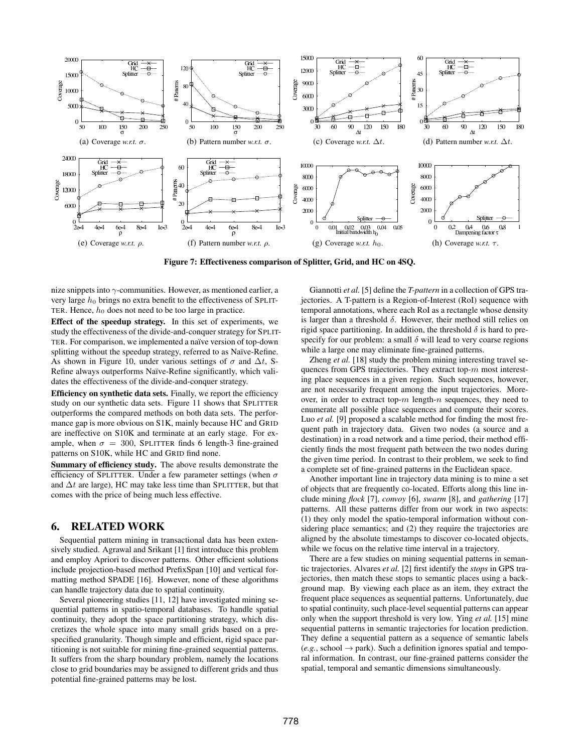

Figure 7: Effectiveness comparison of Splitter, Grid, and HC on 4SQ.

nize snippets into  $\gamma$ -communities. However, as mentioned earlier, a very large  $h_0$  brings no extra benefit to the effectiveness of SPLIT-TER. Hence,  $h_0$  does not need to be too large in practice.

Effect of the speedup strategy. In this set of experiments, we study the effectiveness of the divide-and-conquer strategy for SPLIT-TER. For comparison, we implemented a naïve version of top-down splitting without the speedup strategy, referred to as Naïve-Refine. As shown in Figure 10, under various settings of  $\sigma$  and  $\Delta t$ , S-Refine always outperforms Naïve-Refine significantly, which validates the effectiveness of the divide-and-conquer strategy.

Efficiency on synthetic data sets. Finally, we report the efficiency study on our synthetic data sets. Figure 11 shows that SPLITTER outperforms the compared methods on both data sets. The performance gap is more obvious on S1K, mainly because HC and GRID are ineffective on S10K and terminate at an early stage. For example, when  $\sigma = 300$ , SPLITTER finds 6 length-3 fine-grained patterns on S10K, while HC and GRID find none.

Summary of efficiency study. The above results demonstrate the efficiency of SPLITTER. Under a few parameter settings (when  $\sigma$ and  $\Delta t$  are large), HC may take less time than SPLITTER, but that comes with the price of being much less effective.

# 6. RELATED WORK

Sequential pattern mining in transactional data has been extensively studied. Agrawal and Srikant [1] first introduce this problem and employ Apriori to discover patterns. Other efficient solutions include projection-based method PrefixSpan [10] and vertical formatting method SPADE [16]. However, none of these algorithms can handle trajectory data due to spatial continuity.

Several pioneering studies [11, 12] have investigated mining sequential patterns in spatio-temporal databases. To handle spatial continuity, they adopt the space partitioning strategy, which discretizes the whole space into many small grids based on a prespecified granularity. Though simple and efficient, rigid space partitioning is not suitable for mining fine-grained sequential patterns. It suffers from the sharp boundary problem, namely the locations close to grid boundaries may be assigned to different grids and thus potential fine-grained patterns may be lost.

Giannotti *et al.* [5] define the *T-pattern* in a collection of GPS trajectories. A T-pattern is a Region-of-Interest (RoI) sequence with temporal annotations, where each RoI as a rectangle whose density is larger than a threshold  $\delta$ . However, their method still relies on rigid space partitioning. In addition, the threshold  $\delta$  is hard to prespecify for our problem: a small  $\delta$  will lead to very coarse regions while a large one may eliminate fine-grained patterns.

Zheng *et al.* [18] study the problem mining interesting travel sequences from GPS trajectories. They extract top- $m$  most interesting place sequences in a given region. Such sequences, however, are not necessarily frequent among the input trajectories. Moreover, in order to extract top- $m$  length- $n$  sequences, they need to enumerate all possible place sequences and compute their scores. Luo *et al.* [9] proposed a scalable method for finding the most frequent path in trajectory data. Given two nodes (a source and a destination) in a road network and a time period, their method efficiently finds the most frequent path between the two nodes during the given time period. In contrast to their problem, we seek to find a complete set of fine-grained patterns in the Euclidean space.

Another important line in trajectory data mining is to mine a set of objects that are frequently co-located. Efforts along this line include mining *flock* [7], *convoy* [6], *swarm* [8], and *gathering* [17] patterns. All these patterns differ from our work in two aspects: (1) they only model the spatio-temporal information without considering place semantics; and (2) they require the trajectories are aligned by the absolute timestamps to discover co-located objects, while we focus on the relative time interval in a trajectory.

There are a few studies on mining sequential patterns in semantic trajectories. Alvares *et al.* [2] first identify the *stops* in GPS trajectories, then match these stops to semantic places using a background map. By viewing each place as an item, they extract the frequent place sequences as sequential patterns. Unfortunately, due to spatial continuity, such place-level sequential patterns can appear only when the support threshold is very low. Ying *et al.* [15] mine sequential patterns in semantic trajectories for location prediction. They define a sequential pattern as a sequence of semantic labels  $(e.g., school \rightarrow park)$ . Such a definition ignores spatial and temporal information. In contrast, our fine-grained patterns consider the spatial, temporal and semantic dimensions simultaneously.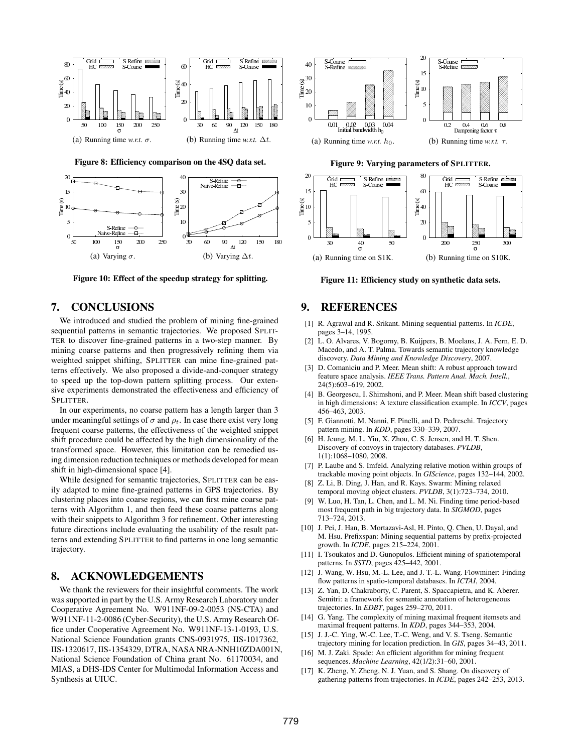



Figure 8: Efficiency comparison on the 4SQ data set.

Figure 10: Effect of the speedup strategy for splitting.

#### 7. CONCLUSIONS

We introduced and studied the problem of mining fine-grained sequential patterns in semantic trajectories. We proposed SPLIT-TER to discover fine-grained patterns in a two-step manner. By mining coarse patterns and then progressively refining them via weighted snippet shifting, SPLITTER can mine fine-grained patterns effectively. We also proposed a divide-and-conquer strategy to speed up the top-down pattern splitting process. Our extensive experiments demonstrated the effectiveness and efficiency of SPLITTER.

In our experiments, no coarse pattern has a length larger than 3 under meaningful settings of  $\sigma$  and  $\rho_t$ . In case there exist very long frequent coarse patterns, the effectiveness of the weighted snippet shift procedure could be affected by the high dimensionality of the transformed space. However, this limitation can be remedied using dimension reduction techniques or methods developed for mean shift in high-dimensional space [4].

While designed for semantic trajectories, SPLITTER can be easily adapted to mine fine-grained patterns in GPS trajectories. By clustering places into coarse regions, we can first mine coarse patterns with Algorithm 1, and then feed these coarse patterns along with their snippets to Algorithm 3 for refinement. Other interesting future directions include evaluating the usability of the result patterns and extending SPLITTER to find patterns in one long semantic trajectory.

# 8. ACKNOWLEDGEMENTS

We thank the reviewers for their insightful comments. The work was supported in part by the U.S. Army Research Laboratory under Cooperative Agreement No. W911NF-09-2-0053 (NS-CTA) and W911NF-11-2-0086 (Cyber-Security), the U.S. Army Research Office under Cooperative Agreement No. W911NF-13-1-0193, U.S. National Science Foundation grants CNS-0931975, IIS-1017362, IIS-1320617, IIS-1354329, DTRA, NASA NRA-NNH10ZDA001N, National Science Foundation of China grant No. 61170034, and MIAS, a DHS-IDS Center for Multimodal Information Access and Synthesis at UIUC.



Figure 9: Varying parameters of SPLITTER.



Figure 11: Efficiency study on synthetic data sets.

# 9. REFERENCES

- [1] R. Agrawal and R. Srikant. Mining sequential patterns. In *ICDE*, pages 3–14, 1995.
- [2] L. O. Alvares, V. Bogorny, B. Kuijpers, B. Moelans, J. A. Fern, E. D. Macedo, and A. T. Palma. Towards semantic trajectory knowledge discovery. *Data Mining and Knowledge Discovery*, 2007.
- [3] D. Comaniciu and P. Meer. Mean shift: A robust approach toward feature space analysis. *IEEE Trans. Pattern Anal. Mach. Intell.*, 24(5):603–619, 2002.
- [4] B. Georgescu, I. Shimshoni, and P. Meer. Mean shift based clustering in high dimensions: A texture classification example. In *ICCV*, pages 456–463, 2003.
- [5] F. Giannotti, M. Nanni, F. Pinelli, and D. Pedreschi. Trajectory pattern mining. In *KDD*, pages 330–339, 2007.
- H. Jeung, M. L. Yiu, X. Zhou, C. S. Jensen, and H. T. Shen. Discovery of convoys in trajectory databases. *PVLDB*, 1(1):1068–1080, 2008.
- [7] P. Laube and S. Imfeld. Analyzing relative motion within groups of trackable moving point objects. In *GIScience*, pages 132–144, 2002.
- [8] Z. Li, B. Ding, J. Han, and R. Kays. Swarm: Mining relaxed temporal moving object clusters. *PVLDB*, 3(1):723–734, 2010.
- W. Luo, H. Tan, L. Chen, and L. M. Ni. Finding time period-based most frequent path in big trajectory data. In *SIGMOD*, pages 713–724, 2013.
- [10] J. Pei, J. Han, B. Mortazavi-Asl, H. Pinto, Q. Chen, U. Dayal, and M. Hsu. Prefixspan: Mining sequential patterns by prefix-projected growth. In *ICDE*, pages 215–224, 2001.
- [11] I. Tsoukatos and D. Gunopulos. Efficient mining of spatiotemporal patterns. In *SSTD*, pages 425–442, 2001.
- [12] J. Wang, W. Hsu, M.-L. Lee, and J. T.-L. Wang. Flowminer: Finding flow patterns in spatio-temporal databases. In *ICTAI*, 2004.
- [13] Z. Yan, D. Chakraborty, C. Parent, S. Spaccapietra, and K. Aberer. Semitri: a framework for semantic annotation of heterogeneous trajectories. In *EDBT*, pages 259–270, 2011.
- [14] G. Yang. The complexity of mining maximal frequent itemsets and maximal frequent patterns. In *KDD*, pages 344–353, 2004.
- [15] J. J.-C. Ying, W.-C. Lee, T.-C. Weng, and V. S. Tseng. Semantic trajectory mining for location prediction. In *GIS*, pages 34–43, 2011.
- [16] M. J. Zaki. Spade: An efficient algorithm for mining frequent sequences. *Machine Learning*, 42(1/2):31–60, 2001.
- [17] K. Zheng, Y. Zheng, N. J. Yuan, and S. Shang. On discovery of gathering patterns from trajectories. In *ICDE*, pages 242–253, 2013.